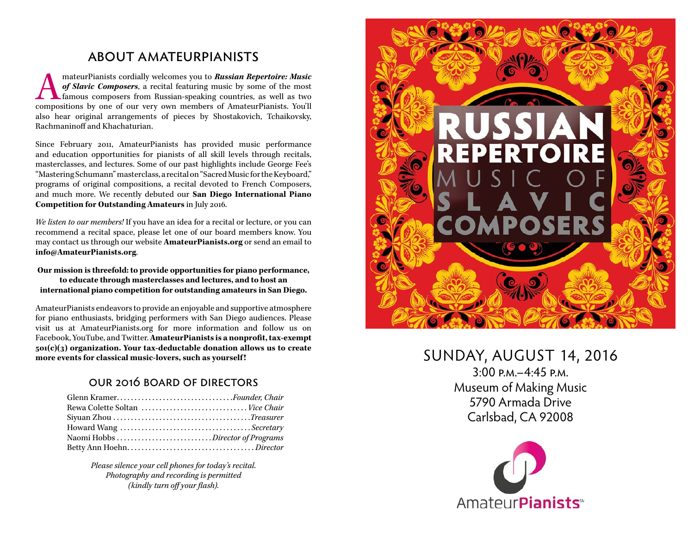## about amateurpianists

mateurPianists cordially welcomes you to **Russian Repertoire: Music of Slavic Composers**, a recital featuring music by some of the most famous composers from Russian-speaking countries, as well as two compositions by one o *of Slavic Composers*, a recital featuring music by some of the most famous composers from Russian-speaking countries, as well as two compositions by one of our very own members of AmateurPianists. You'll also hear original arrangements of pieces by Shostakovich, Tchaikovsky, Rachmaninoff and Khachaturian.

Since February 2011, AmateurPianists has provided music performance and education opportunities for pianists of all skill levels through recitals, masterclasses, and lectures. Some of our past highlights include George Fee's "Mastering Schumann" masterclass, a recital on "Sacred Music for the Keyboard," programs of original compositions, a recital devoted to French Composers, and much more. We recently debuted our **San Diego International Piano Competition for Outstanding Amateurs** in July 2016.

*We listen to our members!* If you have an idea for a recital or lecture, or you can recommend a recital space, please let one of our board members know. You may contact us through our website **AmateurPianists.org** or send an email to **info@AmateurPianists.org**.

#### **Our mission is threefold: to provide opportunities for piano performance, to educate through masterclasses and lectures, and to host an international piano competition for outstanding amateurs in San Diego.**

AmateurPianists endeavors to provide an enjoyable and supportive atmosphere for piano enthusiasts, bridging performers with San Diego audiences. Please visit us at AmateurPianists.org for more information and follow us on Facebook, YouTube, and Twitter. **AmateurPianists is a nonprofit, tax-exempt 501(c)(3) organization. Your tax-deductable donation allows us to create more events for classical music-lovers, such as yourself !**

## our 2016 board of directors

*Please silence your cell phones for today's recital. Photography and recording is permitted (kindly turn off your flash).*



## SUNDAY, AUGUST 14, 2016

3:00 p.m.–4:45 p.m. Museum of Making Music 5790 Armada Drive Carlsbad, CA 92008